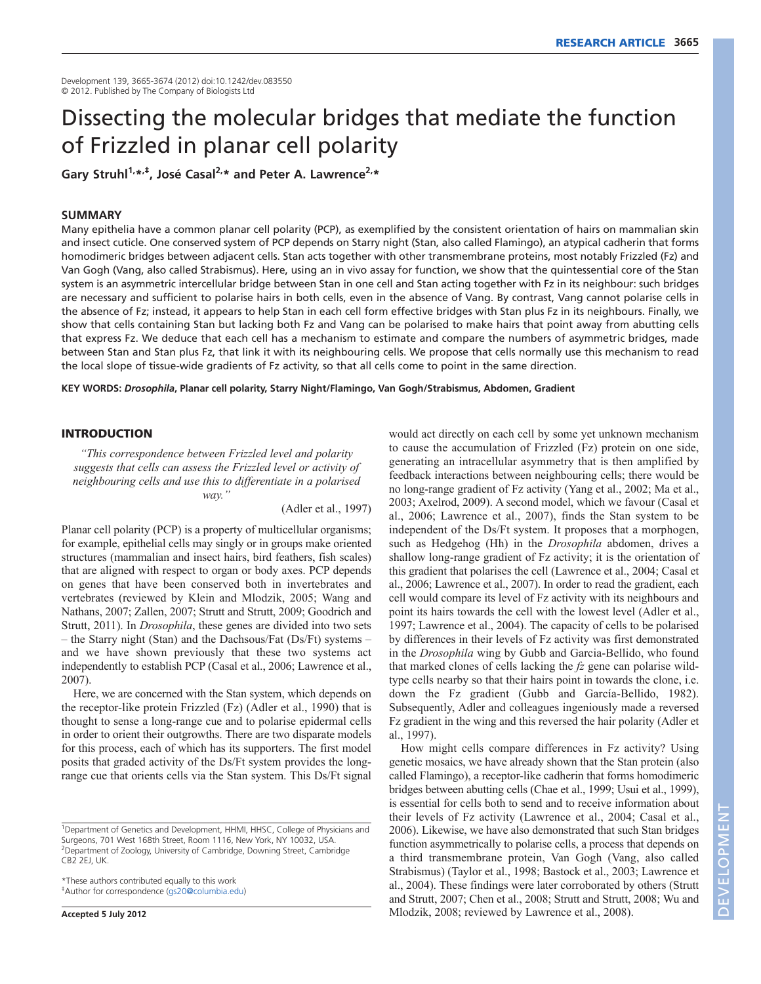Development 139, 3665-3674 (2012) doi:10.1242/dev.083550 © 2012. Published by The Company of Biologists Ltd

# Dissecting the molecular bridges that mediate the function of Frizzled in planar cell polarity

Gary Struhl<sup>1,\*,‡</sup>, José Casal<sup>2,\*</sup> and Peter A. Lawrence<sup>2,\*</sup>

## **SUMMARY**

Many epithelia have a common planar cell polarity (PCP), as exemplified by the consistent orientation of hairs on mammalian skin and insect cuticle. One conserved system of PCP depends on Starry night (Stan, also called Flamingo), an atypical cadherin that forms homodimeric bridges between adjacent cells. Stan acts together with other transmembrane proteins, most notably Frizzled (Fz) and Van Gogh (Vang, also called Strabismus). Here, using an in vivo assay for function, we show that the quintessential core of the Stan system is an asymmetric intercellular bridge between Stan in one cell and Stan acting together with Fz in its neighbour: such bridges are necessary and sufficient to polarise hairs in both cells, even in the absence of Vang. By contrast, Vang cannot polarise cells in the absence of Fz; instead, it appears to help Stan in each cell form effective bridges with Stan plus Fz in its neighbours. Finally, we show that cells containing Stan but lacking both Fz and Vang can be polarised to make hairs that point away from abutting cells that express Fz. We deduce that each cell has a mechanism to estimate and compare the numbers of asymmetric bridges, made between Stan and Stan plus Fz, that link it with its neighbouring cells. We propose that cells normally use this mechanism to read the local slope of tissue-wide gradients of Fz activity, so that all cells come to point in the same direction.

**KEY WORDS:** *Drosophila***, Planar cell polarity, Starry Night/Flamingo, Van Gogh/Strabismus, Abdomen, Gradient**

## **INTRODUCTION**

*"This correspondence between Frizzled level and polarity suggests that cells can assess the Frizzled level or activity of neighbouring cells and use this to differentiate in a polarised way."*

(Adler et al., 1997)

Planar cell polarity (PCP) is a property of multicellular organisms; for example, epithelial cells may singly or in groups make oriented structures (mammalian and insect hairs, bird feathers, fish scales) that are aligned with respect to organ or body axes. PCP depends on genes that have been conserved both in invertebrates and vertebrates (reviewed by Klein and Mlodzik, 2005; Wang and Nathans, 2007; Zallen, 2007; Strutt and Strutt, 2009; Goodrich and Strutt, 2011). In *Drosophila*, these genes are divided into two sets – the Starry night (Stan) and the Dachsous/Fat (Ds/Ft) systems – and we have shown previously that these two systems act independently to establish PCP (Casal et al., 2006; Lawrence et al., 2007).

Here, we are concerned with the Stan system, which depends on the receptor-like protein Frizzled (Fz) (Adler et al., 1990) that is thought to sense a long-range cue and to polarise epidermal cells in order to orient their outgrowths. There are two disparate models for this process, each of which has its supporters. The first model posits that graded activity of the Ds/Ft system provides the longrange cue that orients cells via the Stan system. This Ds/Ft signal

\*These authors contributed equally to this work ‡Author for correspondence (gs20@columbia.edu)

**Accepted 5 July 2012**

would act directly on each cell by some yet unknown mechanism to cause the accumulation of Frizzled (Fz) protein on one side, generating an intracellular asymmetry that is then amplified by feedback interactions between neighbouring cells; there would be no long-range gradient of Fz activity (Yang et al., 2002; Ma et al., 2003; Axelrod, 2009). A second model, which we favour (Casal et al., 2006; Lawrence et al., 2007), finds the Stan system to be independent of the Ds/Ft system. It proposes that a morphogen, such as Hedgehog (Hh) in the *Drosophila* abdomen, drives a shallow long-range gradient of Fz activity; it is the orientation of this gradient that polarises the cell (Lawrence et al., 2004; Casal et al., 2006; Lawrence et al., 2007). In order to read the gradient, each cell would compare its level of Fz activity with its neighbours and point its hairs towards the cell with the lowest level (Adler et al., 1997; Lawrence et al., 2004). The capacity of cells to be polarised by differences in their levels of Fz activity was first demonstrated in the *Drosophila* wing by Gubb and Garcia-Bellido, who found that marked clones of cells lacking the *fz* gene can polarise wildtype cells nearby so that their hairs point in towards the clone, i.e. down the Fz gradient (Gubb and García-Bellido, 1982). Subsequently, Adler and colleagues ingeniously made a reversed Fz gradient in the wing and this reversed the hair polarity (Adler et al., 1997).

How might cells compare differences in Fz activity? Using genetic mosaics, we have already shown that the Stan protein (also called Flamingo), a receptor-like cadherin that forms homodimeric bridges between abutting cells (Chae et al., 1999; Usui et al., 1999), is essential for cells both to send and to receive information about their levels of Fz activity (Lawrence et al., 2004; Casal et al., 2006). Likewise, we have also demonstrated that such Stan bridges function asymmetrically to polarise cells, a process that depends on a third transmembrane protein, Van Gogh (Vang, also called Strabismus) (Taylor et al., 1998; Bastock et al., 2003; Lawrence et al., 2004). These findings were later corroborated by others (Strutt and Strutt, 2007; Chen et al., 2008; Strutt and Strutt, 2008; Wu and Mlodzik, 2008; reviewed by Lawrence et al., 2008).

<sup>&</sup>lt;sup>1</sup>Department of Genetics and Development, HHMI, HHSC, College of Physicians and Surgeons, 701 West 168th Street, Room 1116, New York, NY 10032, USA. <sup>2</sup>Department of Zoology, University of Cambridge, Downing Street, Cambridge CB2 2EJ, UK.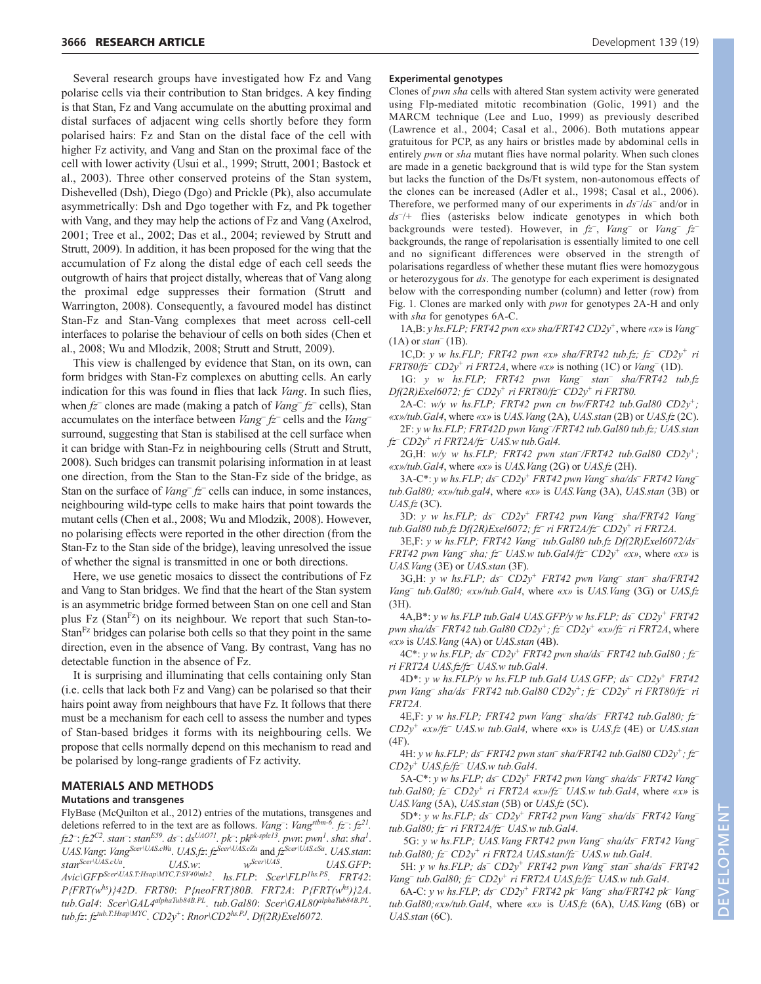Several research groups have investigated how Fz and Vang polarise cells via their contribution to Stan bridges. A key finding is that Stan, Fz and Vang accumulate on the abutting proximal and distal surfaces of adjacent wing cells shortly before they form polarised hairs: Fz and Stan on the distal face of the cell with higher Fz activity, and Vang and Stan on the proximal face of the cell with lower activity (Usui et al., 1999; Strutt, 2001; Bastock et al., 2003). Three other conserved proteins of the Stan system, Dishevelled (Dsh), Diego (Dgo) and Prickle (Pk), also accumulate asymmetrically: Dsh and Dgo together with Fz, and Pk together with Vang, and they may help the actions of Fz and Vang (Axelrod, 2001; Tree et al., 2002; Das et al., 2004; reviewed by Strutt and Strutt, 2009). In addition, it has been proposed for the wing that the accumulation of Fz along the distal edge of each cell seeds the outgrowth of hairs that project distally, whereas that of Vang along the proximal edge suppresses their formation (Strutt and Warrington, 2008). Consequently, a favoured model has distinct Stan-Fz and Stan-Vang complexes that meet across cell-cell interfaces to polarise the behaviour of cells on both sides (Chen et al., 2008; Wu and Mlodzik, 2008; Strutt and Strutt, 2009).

This view is challenged by evidence that Stan, on its own, can form bridges with Stan-Fz complexes on abutting cells. An early indication for this was found in flies that lack *Vang*. In such flies, when *fz–* clones are made (making a patch of *Vang– fz–* cells), Stan accumulates on the interface between *Vang– fz–* cells and the *Vang–* surround, suggesting that Stan is stabilised at the cell surface when it can bridge with Stan-Fz in neighbouring cells (Strutt and Strutt, 2008). Such bridges can transmit polarising information in at least one direction, from the Stan to the Stan-Fz side of the bridge, as Stan on the surface of *Vang–fz*– cells can induce, in some instances, neighbouring wild-type cells to make hairs that point towards the mutant cells (Chen et al., 2008; Wu and Mlodzik, 2008). However, no polarising effects were reported in the other direction (from the Stan-Fz to the Stan side of the bridge), leaving unresolved the issue of whether the signal is transmitted in one or both directions.

Here, we use genetic mosaics to dissect the contributions of Fz and Vang to Stan bridges. We find that the heart of the Stan system is an asymmetric bridge formed between Stan on one cell and Stan plus Fz (Stan<sup>Fz</sup>) on its neighbour. We report that such Stan-to-Stan $F<sup>z</sup>$  bridges can polarise both cells so that they point in the same direction, even in the absence of Vang. By contrast, Vang has no detectable function in the absence of Fz.

It is surprising and illuminating that cells containing only Stan (i.e. cells that lack both Fz and Vang) can be polarised so that their hairs point away from neighbours that have Fz. It follows that there must be a mechanism for each cell to assess the number and types of Stan-based bridges it forms with its neighbouring cells. We propose that cells normally depend on this mechanism to read and be polarised by long-range gradients of Fz activity.

# **MATERIALS AND METHODS**

### **Mutations and transgenes**

FlyBase (McQuilton et al., 2012) entries of the mutations, transgenes and deletions referred to in the text are as follows. *Vang*<sup>-</sup>: *Vang<sup>stbm-6</sup>*.  $fz^{-}$ :  $fz^{2l}$ . *fz2–* : *fz2C2. stan–* : *stanE59. ds–* : *dsUAO71. pk–* : *pkpk-sple13. pwn*: *pwn1* . *sha*: *sha1* . *UAS.Vang*: *VangScer\UAS.cWa*. *UAS.fz*: *fzScer\UAS.cZa* and *fzScer\UAS.cSa*. *UAS.stan*: *stan<sup>Scer\UAS.cUa*. *UAS.w*: *w<sup>Scer\UAS*. *UAS.GFP*: *UAS.GFP*:</sup></sup> *Avic\GFPScer\UAS.T:Hsap\MYC,T:SV40\nls2*. *hs.FLP*: *Scer\FLP1hs.PS*. *FRT42*: *P{FRT(whs)}42D*. *FRT80*: *P{neoFRT}80B. FRT2A*: *P{FRT(whs)}2A*. *tub.Gal4*: *Scer\GAL4alphaTub84B.PL*. *tub.Gal80*: *Scer\GAL80alphaTub84B.PL*. *tub.fz*: *fztub.T:Hsap\MYC*. *CD2y+*: *Rnor\CD2hs.PJ*. *Df(2R)Exel6072.*

#### **Experimental genotypes**

Clones of *pwn sha* cells with altered Stan system activity were generated using Flp-mediated mitotic recombination (Golic, 1991) and the MARCM technique (Lee and Luo, 1999) as previously described (Lawrence et al., 2004; Casal et al., 2006). Both mutations appear gratuitous for PCP, as any hairs or bristles made by abdominal cells in entirely *pwn* or *sha* mutant flies have normal polarity. When such clones are made in a genetic background that is wild type for the Stan system but lacks the function of the Ds/Ft system, non-autonomous effects of the clones can be increased (Adler et al., 1998; Casal et al., 2006). Therefore, we performed many of our experiments in  $ds^-/ds^-$  and/or in *ds–* /*+* flies (asterisks below indicate genotypes in which both backgrounds were tested). However, in *fz–* , *Vang–* or *Vang– fz–* backgrounds, the range of repolarisation is essentially limited to one cell and no significant differences were observed in the strength of polarisations regardless of whether these mutant flies were homozygous or heterozygous for *ds*. The genotype for each experiment is designated below with the corresponding number (column) and letter (row) from Fig. 1. Clones are marked only with *pwn* for genotypes 2A-H and only with *sha* for genotypes 6A-C.

1A,B: *y hs.FLP; FRT42 pwn «x» sha/FRT42 CD2y+*, where *«x»* is *Vang–* (1A) or *stan–* (1B).

1C,D: *y w hs.FLP; FRT42 pwn «x» sha/FRT42 tub.fz; fz– CD2y+ ri FRT80/fz– CD2y+ ri FRT2A*, where *«x»* is nothing (1C) or *Vang–* (1D).

1G: *y w hs.FLP; FRT42 pwn Vang– stan– sha/FRT42 tub.fz Df(2R)Exel6072; fz– CD2y+ ri FRT80/fz– CD2y+ ri FRT80.*

2A-C: *w/y w hs.FLP; FRT42 pwn cn bw/FRT42 tub.Gal80 CD2y+; «x»/tub.Gal4*, where *«x»* is *UAS.Vang* (2A), *UAS.stan* (2B) or *UAS.fz* (2C).

2F: *y w hs.FLP; FRT42D pwn Vang– /FRT42 tub.Gal80 tub.fz; UAS.stan fz– CD2y+ ri FRT2A/fz– UAS.w tub.Gal4.*

2G,H: *w/y w hs.FLP; FRT42 pwn stan– /FRT42 tub.Gal80 CD2y+; «x»/tub.Gal4*, where *«x»* is *UAS.Vang* (2G) or *UAS.fz* (2H).

3A-C\*: *y w hs.FLP; ds– CD2y+ FRT42 pwn Vang– sha/ds– FRT42 Vang– tub.Gal80; «x»/tub.gal4*, where *«x»* is *UAS.Vang* (3A), *UAS.stan* (3B) or *UAS.fz* (3C).

3D: *y w hs.FLP; ds– CD2y+ FRT42 pwn Vang– sha/FRT42 Vang– tub.Gal80 tub.fz Df(2R)Exel6072; fz– ri FRT2A/fz– CD2y+ ri FRT2A.*

3E,F: *y w hs.FLP; FRT42 Vang– tub.Gal80 tub.fz Df(2R)Exel6072/ds– FRT42 pwn Vang<sup>–</sup> sha; fz*–*UAS.w tub.Gal4/fz*– $CD2y^+$  *«x»*, where *«x»* is *UAS.Vang* (3E) or *UAS.stan* (3F).

3G,H: *y w hs.FLP; ds– CD2y+ FRT42 pwn Vang– stan– sha/FRT42 Vang– tub.Gal80; «x»/tub.Gal4*, where *«x»* is *UAS.Vang* (3G) or *UAS.fz* (3H).

4A,B\*: *y w hs.FLP tub.Gal4 UAS.GFP/y w hs.FLP; ds– CD2y+ FRT42 pwn sha/ds– FRT42 tub.Gal80 CD2y+; fz– CD2y+ «x»/fz– ri FRT2A*, where *«x»* is *UAS.Vang* (4A) or *UAS.stan* (4B).

4C\*: *y w hs.FLP; ds– CD2y+ FRT42 pwn sha/ds– FRT42 tub.Gal80 ; fz– ri FRT2A UAS.fz/fz– UAS.w tub.Gal4*.

4D\*: *y w hs.FLP/y w hs.FLP tub.Gal4 UAS.GFP; ds– CD2y<sup>+</sup> FRT42 pwn Vang– sha/ds– FRT42 tub.Gal80 CD2y+; fz– CD2y<sup>+</sup> ri FRT80/fz– ri FRT2A*.

4E,F: *y w hs.FLP; FRT42 pwn Vang– sha/ds– FRT42 tub.Gal80; fz– CD2y<sup>+</sup> «x»/fz– UAS.w tub.Gal4,* where «x» is *UAS.fz* (4E) or *UAS.stan* (4F).

4H: *y w hs.FLP; ds– FRT42 pwn stan– sha/FRT42 tub.Gal80 CD2y+; fz– CD2y+ UAS.fz/fz– UAS.w tub.Gal4*.

5A-C\*: *y w hs.FLP; ds– CD2y+ FRT42 pwn Vang– sha/ds– FRT42 Vang– tub.Gal80; fz– CD2y<sup>+</sup> ri FRT2A «x»/fz– UAS.w tub.Gal4*, where *«x»* is *UAS.Vang* (5A), *UAS.stan* (5B) or *UAS.fz* (5C).

5D\*: *y w hs.FLP; ds– CD2y+ FRT42 pwn Vang– sha/ds– FRT42 Vang– tub.Gal80; fz– ri FRT2A/fz– UAS.w tub.Gal4*.

5G: *y w hs.FLP; UAS.Vang FRT42 pwn Vang– sha/ds– FRT42 Vang– tub.Gal80; fz– CD2y+ ri FRT2A UAS.stan/fz– UAS.w tub.Gal4*.

5H: *y w hs.FLP; ds– CD2y<sup>+</sup> FRT42 pwn Vang– stan– sha/ds– FRT42 Vang– tub.Gal80; fz– CD2y+ ri FRT2A UAS.fz/fz– UAS.w tub.Gal4*.

6A-C: *y w hs.FLP; ds– CD2y+ FRT42 pk– Vang– sha/FRT42 pk– Vang– tub.Gal80;«x»/tub.Gal4*, where *«x»* is *UAS.fz* (6A), *UAS.Vang* (6B) or *UAS.stan* (6C).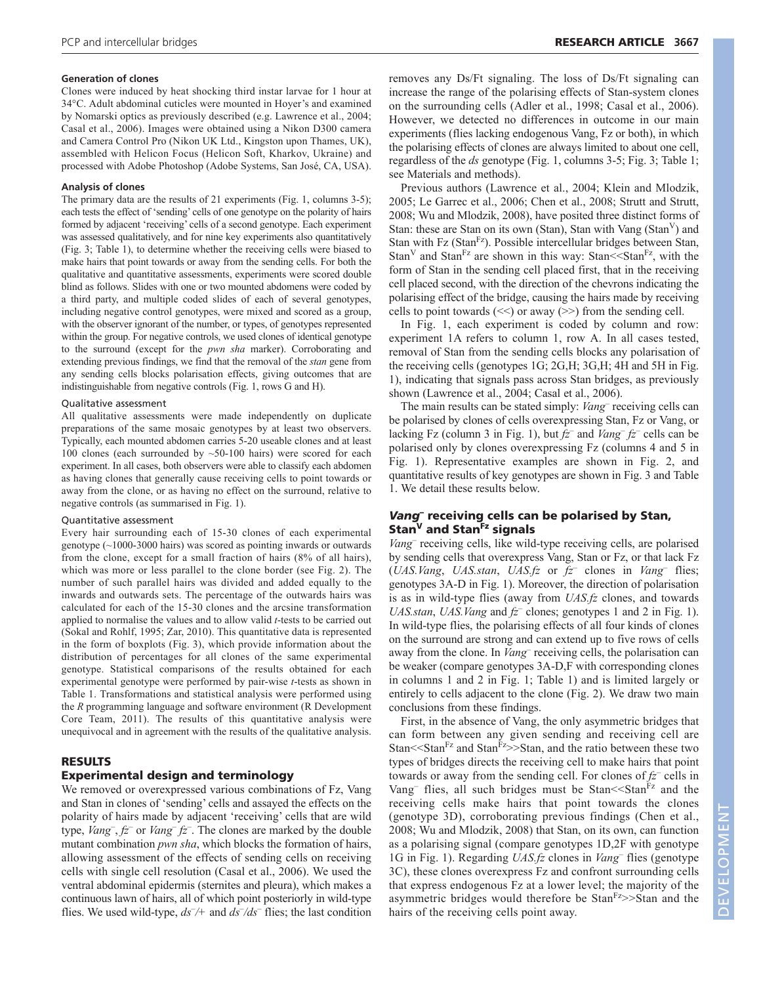## **Generation of clones**

Clones were induced by heat shocking third instar larvae for 1 hour at 34°C. Adult abdominal cuticles were mounted in Hoyer's and examined by Nomarski optics as previously described (e.g. Lawrence et al., 2004; Casal et al., 2006). Images were obtained using a Nikon D300 camera and Camera Control Pro (Nikon UK Ltd., Kingston upon Thames, UK), assembled with Helicon Focus (Helicon Soft, Kharkov, Ukraine) and processed with Adobe Photoshop (Adobe Systems, San José, CA, USA).

#### **Analysis of clones**

The primary data are the results of 21 experiments (Fig. 1, columns 3-5); each tests the effect of 'sending' cells of one genotype on the polarity of hairs formed by adjacent 'receiving' cells of a second genotype. Each experiment was assessed qualitatively, and for nine key experiments also quantitatively (Fig. 3; Table 1), to determine whether the receiving cells were biased to make hairs that point towards or away from the sending cells. For both the qualitative and quantitative assessments, experiments were scored double blind as follows. Slides with one or two mounted abdomens were coded by a third party, and multiple coded slides of each of several genotypes, including negative control genotypes, were mixed and scored as a group, with the observer ignorant of the number, or types, of genotypes represented within the group. For negative controls, we used clones of identical genotype to the surround (except for the *pwn sha* marker). Corroborating and extending previous findings, we find that the removal of the *stan* gene from any sending cells blocks polarisation effects, giving outcomes that are indistinguishable from negative controls (Fig. 1, rows G and H).

#### Qualitative assessment

All qualitative assessments were made independently on duplicate preparations of the same mosaic genotypes by at least two observers. Typically, each mounted abdomen carries 5-20 useable clones and at least 100 clones (each surrounded by ~50-100 hairs) were scored for each experiment. In all cases, both observers were able to classify each abdomen as having clones that generally cause receiving cells to point towards or away from the clone, or as having no effect on the surround, relative to negative controls (as summarised in Fig. 1).

#### Quantitative assessment

Every hair surrounding each of 15-30 clones of each experimental genotype (~1000-3000 hairs) was scored as pointing inwards or outwards from the clone, except for a small fraction of hairs (8% of all hairs), which was more or less parallel to the clone border (see Fig. 2). The number of such parallel hairs was divided and added equally to the inwards and outwards sets. The percentage of the outwards hairs was calculated for each of the 15-30 clones and the arcsine transformation applied to normalise the values and to allow valid *t*-tests to be carried out (Sokal and Rohlf, 1995; Zar, 2010). This quantitative data is represented in the form of boxplots (Fig. 3), which provide information about the distribution of percentages for all clones of the same experimental genotype. Statistical comparisons of the results obtained for each experimental genotype were performed by pair-wise *t*-tests as shown in Table 1. Transformations and statistical analysis were performed using the *R* programming language and software environment (R Development Core Team, 2011). The results of this quantitative analysis were unequivocal and in agreement with the results of the qualitative analysis.

# **RESULTS**

## **Experimental design and terminology**

We removed or overexpressed various combinations of Fz, Vang and Stan in clones of 'sending' cells and assayed the effects on the polarity of hairs made by adjacent 'receiving' cells that are wild type, *Vang*<sup>-</sup>,  $fz$ <sup>-</sup> or *Vang*<sup>-</sup> $fz$ <sup>-</sup>. The clones are marked by the double mutant combination *pwn sha*, which blocks the formation of hairs, allowing assessment of the effects of sending cells on receiving cells with single cell resolution (Casal et al., 2006). We used the ventral abdominal epidermis (sternites and pleura), which makes a continuous lawn of hairs, all of which point posteriorly in wild-type flies. We used wild-type,  $ds^-/4$  and  $ds^-/ds^-$  flies; the last condition

removes any Ds/Ft signaling. The loss of Ds/Ft signaling can increase the range of the polarising effects of Stan-system clones on the surrounding cells (Adler et al., 1998; Casal et al., 2006). However, we detected no differences in outcome in our main experiments (flies lacking endogenous Vang, Fz or both), in which the polarising effects of clones are always limited to about one cell, regardless of the *ds* genotype (Fig. 1, columns 3-5; Fig. 3; Table 1; see Materials and methods).

Previous authors (Lawrence et al., 2004; Klein and Mlodzik, 2005; Le Garrec et al., 2006; Chen et al., 2008; Strutt and Strutt, 2008; Wu and Mlodzik, 2008), have posited three distinct forms of Stan: these are Stan on its own (Stan), Stan with Vang (Stan<sup> $V$ </sup>) and Stan with Fz (Stan<sup>Fz</sup>). Possible intercellular bridges between Stan, Stan<sup>V</sup> and Stan<sup>Fz</sup> are shown in this way: Stan<sup> $\leq$ </sup>Stan<sup>Fz</sup>, with the form of Stan in the sending cell placed first, that in the receiving cell placed second, with the direction of the chevrons indicating the polarising effect of the bridge, causing the hairs made by receiving cells to point towards  $(\le)$  or away  $(\ge)$  from the sending cell.

In Fig. 1, each experiment is coded by column and row: experiment 1A refers to column 1, row A. In all cases tested, removal of Stan from the sending cells blocks any polarisation of the receiving cells (genotypes 1G; 2G,H; 3G,H; 4H and 5H in Fig. 1), indicating that signals pass across Stan bridges, as previously shown (Lawrence et al., 2004; Casal et al., 2006).

The main results can be stated simply: *Vang–* receiving cells can be polarised by clones of cells overexpressing Stan, Fz or Vang, or lacking Fz (column 3 in Fig. 1), but *fz–* and *Vang– fz–* cells can be polarised only by clones overexpressing Fz (columns 4 and 5 in Fig. 1). Representative examples are shown in Fig. 2, and quantitative results of key genotypes are shown in Fig. 3 and Table 1. We detail these results below.

## *Vang***– receiving cells can be polarised by Stan, Stan<sup>V</sup> and StanFz signals**

*Vang*– receiving cells, like wild-type receiving cells, are polarised by sending cells that overexpress Vang, Stan or Fz, or that lack Fz (*UAS.Vang*, *UAS.stan*, *UAS.fz* or *fz–* clones in *Vang–* flies; genotypes 3A-D in Fig. 1). Moreover, the direction of polarisation is as in wild-type flies (away from *UAS.fz* clones, and towards *UAS.stan*, *UAS.Vang* and *fz–* clones; genotypes 1 and 2 in Fig. 1). In wild-type flies, the polarising effects of all four kinds of clones on the surround are strong and can extend up to five rows of cells away from the clone. In *Vang–* receiving cells, the polarisation can be weaker (compare genotypes 3A-D,F with corresponding clones in columns 1 and 2 in Fig. 1; Table 1) and is limited largely or entirely to cells adjacent to the clone (Fig. 2). We draw two main conclusions from these findings.

First, in the absence of Vang, the only asymmetric bridges that can form between any given sending and receiving cell are Stan $<<$ Stan $F<sub>z</sub>$  and Stan $F<sub>z</sub>>$ Stan, and the ratio between these two types of bridges directs the receiving cell to make hairs that point towards or away from the sending cell. For clones of *fz–* cells in Vang<sup>–</sup> flies, all such bridges must be Stan<sup><<Stan</sub><sup>Fz</sup> and the</sup> receiving cells make hairs that point towards the clones (genotype 3D), corroborating previous findings (Chen et al., 2008; Wu and Mlodzik, 2008) that Stan, on its own, can function as a polarising signal (compare genotypes 1D,2F with genotype 1G in Fig. 1). Regarding *UAS.fz* clones in *Vang–* flies (genotype 3C), these clones overexpress Fz and confront surrounding cells that express endogenous Fz at a lower level; the majority of the asymmetric bridges would therefore be  $Stan<sup>Fz</sup>>Stan$  and the hairs of the receiving cells point away.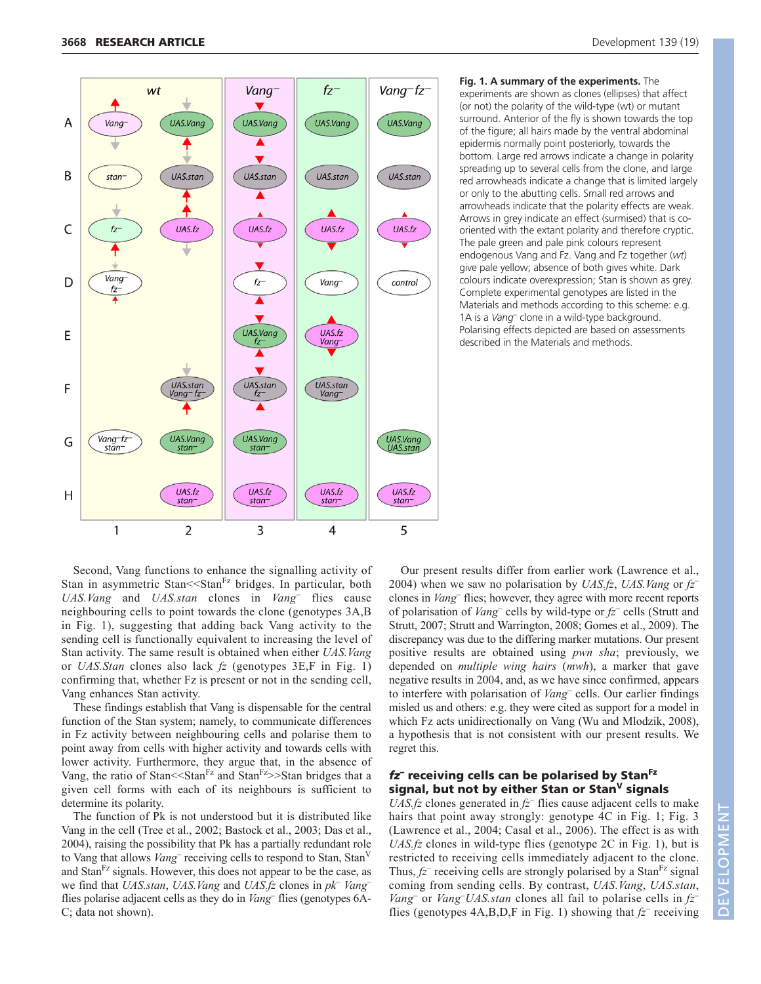

**Fig. 1. A summary of the experiments.** The experiments are shown as clones (ellipses) that affect (or not) the polarity of the wild-type (wt) or mutant surround. Anterior of the fly is shown towards the top of the figure; all hairs made by the ventral abdominal epidermis normally point posteriorly, towards the bottom. Large red arrows indicate a change in polarity spreading up to several cells from the clone, and large red arrowheads indicate a change that is limited largely or only to the abutting cells. Small red arrows and arrowheads indicate that the polarity effects are weak. Arrows in grey indicate an effect (surmised) that is cooriented with the extant polarity and therefore cryptic. The pale green and pale pink colours represent endogenous Vang and Fz. Vang and Fz together (*wt*) give pale yellow; absence of both gives white. Dark colours indicate overexpression; Stan is shown as grey. Complete experimental genotypes are listed in the Materials and methods according to this scheme: e.g. 1A is a *Vang–* clone in a wild-type background. Polarising effects depicted are based on assessments described in the Materials and methods.

Second, Vang functions to enhance the signalling activity of Stan in asymmetric Stan<sup> $<<$ Stan<sup>Fz</sup> bridges. In particular, both</sup> *UAS.Vang* and *UAS.stan* clones in *Vang–* flies cause neighbouring cells to point towards the clone (genotypes 3A,B in Fig. 1), suggesting that adding back Vang activity to the sending cell is functionally equivalent to increasing the level of Stan activity. The same result is obtained when either *UAS.Vang* or *UAS.Stan* clones also lack *fz* (genotypes 3E,F in Fig. 1) confirming that, whether Fz is present or not in the sending cell, Vang enhances Stan activity.

These findings establish that Vang is dispensable for the central function of the Stan system; namely, to communicate differences in Fz activity between neighbouring cells and polarise them to point away from cells with higher activity and towards cells with lower activity. Furthermore, they argue that, in the absence of Vang, the ratio of Stan $<<$ Stan $Fz$  and Stan $Fz$ >>Stan bridges that a given cell forms with each of its neighbours is sufficient to determine its polarity.

The function of Pk is not understood but it is distributed like Vang in the cell (Tree et al., 2002; Bastock et al., 2003; Das et al., 2004), raising the possibility that Pk has a partially redundant role to Vang that allows *Vang–* receiving cells to respond to Stan, StanV and Stan<sup>rz</sup> signals. However, this does not appear to be the case, as we find that *UAS.stan*, *UAS.Vang* and *UAS.fz* clones in *pk– Vang–* flies polarise adjacent cells as they do in *Vang–* flies (genotypes 6A-C; data not shown).

Our present results differ from earlier work (Lawrence et al., 2004) when we saw no polarisation by *UAS.fz*, *UAS.Vang* or *fz–* clones in *Vang–* flies; however, they agree with more recent reports of polarisation of *Vang–* cells by wild-type or *fz–* cells (Strutt and Strutt, 2007; Strutt and Warrington, 2008; Gomes et al., 2009). The discrepancy was due to the differing marker mutations. Our present positive results are obtained using *pwn sha*; previously, we depended on *multiple wing hairs* (*mwh*), a marker that gave negative results in 2004, and, as we have since confirmed, appears to interfere with polarisation of *Vang–* cells. Our earlier findings misled us and others: e.g. they were cited as support for a model in which Fz acts unidirectionally on Vang (Wu and Mlodzik, 2008), a hypothesis that is not consistent with our present results. We regret this.

## *fz–* **receiving cells can be polarised by StanFz signal, but not by either Stan or Stan<sup>V</sup> signals**

*UAS.fz* clones generated in *fz–* flies cause adjacent cells to make hairs that point away strongly: genotype 4C in Fig. 1; Fig. 3 (Lawrence et al., 2004; Casal et al., 2006). The effect is as with *UAS.fz* clones in wild-type flies (genotype 2C in Fig. 1), but is restricted to receiving cells immediately adjacent to the clone. Thus,  $f\overline{z}$ <sup>–</sup> receiving cells are strongly polarised by a Stan<sup>Fz</sup> signal coming from sending cells. By contrast, *UAS.Vang*, *UAS.stan*, *Vang–* or *Vang– UAS.stan* clones all fail to polarise cells in *fz–* flies (genotypes  $4A, B, D, F$  in Fig. 1) showing that  $f\overline{z}$  receiving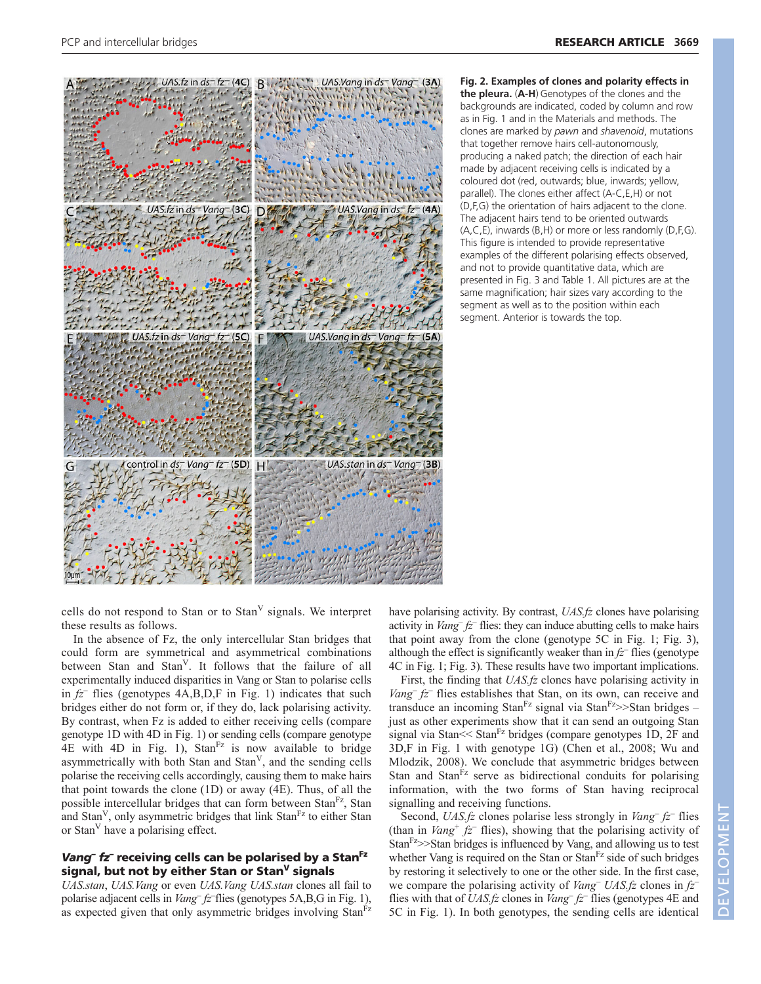

**Fig. 2. Examples of clones and polarity effects in the pleura.** (**A-H**) Genotypes of the clones and the backgrounds are indicated, coded by column and row as in Fig. 1 and in the Materials and methods. The clones are marked by *pawn* and *shavenoid*, mutations that together remove hairs cell-autonomously, producing a naked patch; the direction of each hair made by adjacent receiving cells is indicated by a coloured dot (red, outwards; blue, inwards; yellow, parallel). The clones either affect (A-C,E,H) or not (D,F,G) the orientation of hairs adjacent to the clone. The adjacent hairs tend to be oriented outwards (A,C,E), inwards (B,H) or more or less randomly (D,F,G). This figure is intended to provide representative examples of the different polarising effects observed, and not to provide quantitative data, which are presented in Fig. 3 and Table 1. All pictures are at the same magnification; hair sizes vary according to the segment as well as to the position within each segment. Anterior is towards the top.

cells do not respond to Stan or to Stan<sup>V</sup> signals. We interpret these results as follows.

In the absence of Fz, the only intercellular Stan bridges that could form are symmetrical and asymmetrical combinations between Stan and Stan<sup>V</sup>. It follows that the failure of all experimentally induced disparities in Vang or Stan to polarise cells in *fz–* flies (genotypes 4A,B,D,F in Fig. 1) indicates that such bridges either do not form or, if they do, lack polarising activity. By contrast, when Fz is added to either receiving cells (compare genotype 1D with 4D in Fig. 1) or sending cells (compare genotype  $4E$  with  $4D$  in Fig. 1),  $Stan<sup>Fz</sup>$  is now available to bridge asymmetrically with both Stan and  $Stan<sup>V</sup>$ , and the sending cells polarise the receiving cells accordingly, causing them to make hairs that point towards the clone (1D) or away (4E). Thus, of all the possible intercellular bridges that can form between Stan<sup>Fz</sup>, Stan and Stan<sup>V</sup>, only asymmetric bridges that link Stan<sup>Fz</sup> to either Stan or Stan<sup>V</sup> have a polarising effect.

## *Vang– fz–* **receiving cells can be polarised by a StanFz signal, but not by either Stan or StanV signals**

*UAS.stan*, *UAS.Vang* or even *UAS.Vang UAS.stan* clones all fail to polarise adjacent cells in *Vang– fz–* flies (genotypes 5A,B,G in Fig. 1), as expected given that only asymmetric bridges involving Stan<sup>Fz</sup>

have polarising activity. By contrast, *UAS.fz* clones have polarising activity in *Vang– fz–* flies: they can induce abutting cells to make hairs that point away from the clone (genotype 5C in Fig. 1; Fig. 3), although the effect is significantly weaker than in  $f\bar{z}$  flies (genotype 4C in Fig. 1; Fig. 3). These results have two important implications.

First, the finding that *UAS.fz* clones have polarising activity in *Vang– fz–* flies establishes that Stan, on its own, can receive and transduce an incoming Stan<sup>Fz</sup> signal via Stan<sup>Fz</sup>>>Stan bridges – just as other experiments show that it can send an outgoing Stan signal via Stan $<<$  Stan $<sup>Fz</sup>$  bridges (compare genotypes 1D, 2F and</sup> 3D,F in Fig. 1 with genotype 1G) (Chen et al., 2008; Wu and Mlodzik, 2008). We conclude that asymmetric bridges between Stan and Stan<sup>Fz</sup> serve as bidirectional conduits for polarising information, with the two forms of Stan having reciprocal signalling and receiving functions.

Second, *UAS.fz* clones polarise less strongly in *Vang– fz–* flies (than in *Vang<sup>+</sup> fz*<sup> $-$ </sup> flies), showing that the polarising activity of  $Stan<sup>Fz</sup>>Stan bridges is influenced by Vang, and allowing us to test$ whether Vang is required on the Stan or  $Stan<sup>Fz</sup>$  side of such bridges by restoring it selectively to one or the other side. In the first case, we compare the polarising activity of *Vang– UAS.fz* clones in *fz–* flies with that of *UAS.fz* clones in *Vang– fz–* flies (genotypes 4E and 5C in Fig. 1). In both genotypes, the sending cells are identical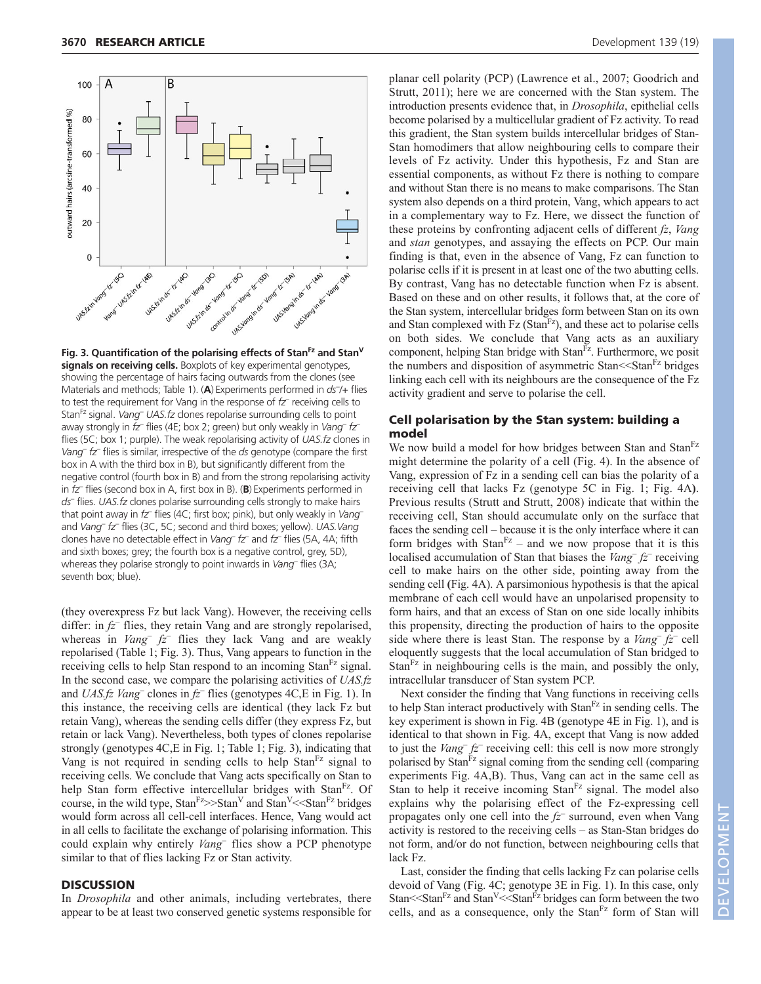![](_page_5_Figure_2.jpeg)

**Fig. 3. Quantification of the polarising effects of StanFz and StanV signals on receiving cells.** Boxplots of key experimental genotypes, showing the percentage of hairs facing outwards from the clones (see Materials and methods; Table 1). (A) Experiments performed in *ds*<sup>-</sup>/+ flies to test the requirement for Vang in the response of *fz–* receiving cells to StanFz signal. *Vang– UAS.fz* clones repolarise surrounding cells to point away strongly in *fz–* flies (4E; box 2; green) but only weakly in *Vang– fz–* flies (5C; box 1; purple). The weak repolarising activity of *UAS.fz* clones in *Vang– fz–* flies is similar, irrespective of the *ds* genotype (compare the first box in A with the third box in B), but significantly different from the negative control (fourth box in B) and from the strong repolarising activity in *fz–* flies (second box in A, first box in B). (**B**) Experiments performed in *ds–* flies. *UAS.fz* clones polarise surrounding cells strongly to make hairs that point away in *fz–* flies (4C; first box; pink), but only weakly in *Vang–* and *Vang– fz–* flies (3C, 5C; second and third boxes; yellow). *UAS.Vang* clones have no detectable effect in *Vang– fz–* and *fz–* flies (5A, 4A; fifth and sixth boxes; grey; the fourth box is a negative control, grey, 5D), whereas they polarise strongly to point inwards in *Vang–* flies (3A; seventh box; blue).

(they overexpress Fz but lack Vang). However, the receiving cells differ: in *fz–* flies, they retain Vang and are strongly repolarised, whereas in *Vang– fz–* flies they lack Vang and are weakly repolarised (Table 1; Fig. 3). Thus, Vang appears to function in the receiving cells to help Stan respond to an incoming Stan<sup>Fz</sup> signal. In the second case, we compare the polarising activities of *UAS.fz* and *UAS.fz Vang–* clones in *fz–* flies (genotypes 4C,E in Fig. 1). In this instance, the receiving cells are identical (they lack Fz but retain Vang), whereas the sending cells differ (they express Fz, but retain or lack Vang). Nevertheless, both types of clones repolarise strongly (genotypes 4C,E in Fig. 1; Table 1; Fig. 3), indicating that Vang is not required in sending cells to help  $Stan<sup>Fz</sup>$  signal to receiving cells. We conclude that Vang acts specifically on Stan to help Stan form effective intercellular bridges with Stan<sup>Fz</sup>. Of course, in the wild type,  $Stan<sup>FZ</sup>>Stan<sup>V</sup>$  and  $Stan<sup>V</sup><sub>0</sub><sup>FZ</sup> bridges$ would form across all cell-cell interfaces. Hence, Vang would act in all cells to facilitate the exchange of polarising information. This could explain why entirely *Vang–* flies show a PCP phenotype similar to that of flies lacking Fz or Stan activity.

#### **DISCUSSION**

In *Drosophila* and other animals, including vertebrates, there appear to be at least two conserved genetic systems responsible for

planar cell polarity (PCP) (Lawrence et al., 2007; Goodrich and Strutt, 2011); here we are concerned with the Stan system. The introduction presents evidence that, in *Drosophila*, epithelial cells become polarised by a multicellular gradient of Fz activity. To read this gradient, the Stan system builds intercellular bridges of Stan-Stan homodimers that allow neighbouring cells to compare their levels of Fz activity. Under this hypothesis, Fz and Stan are essential components, as without Fz there is nothing to compare and without Stan there is no means to make comparisons. The Stan system also depends on a third protein, Vang, which appears to act in a complementary way to Fz. Here, we dissect the function of these proteins by confronting adjacent cells of different *fz*, *Vang* and *stan* genotypes, and assaying the effects on PCP. Our main finding is that, even in the absence of Vang, Fz can function to polarise cells if it is present in at least one of the two abutting cells. By contrast, Vang has no detectable function when Fz is absent. Based on these and on other results, it follows that, at the core of the Stan system, intercellular bridges form between Stan on its own and Stan complexed with  $Fz$  (Stan $Fz$ ), and these act to polarise cells on both sides. We conclude that Vang acts as an auxiliary component, helping Stan bridge with Stan<sup>Fz</sup>. Furthermore, we posit the numbers and disposition of asymmetric Stan<sup><<</sup>Stan<sup>Fz</sup> bridges linking each cell with its neighbours are the consequence of the Fz activity gradient and serve to polarise the cell.

## **Cell polarisation by the Stan system: building a model**

We now build a model for how bridges between Stan and Stan<sup>Fz</sup> might determine the polarity of a cell (Fig. 4). In the absence of Vang, expression of Fz in a sending cell can bias the polarity of a receiving cell that lacks Fz (genotype 5C in Fig. 1; Fig. 4A**)**. Previous results (Strutt and Strutt, 2008) indicate that within the receiving cell, Stan should accumulate only on the surface that faces the sending cell – because it is the only interface where it can form bridges with  $Stan<sup>Fz</sup>$  – and we now propose that it is this localised accumulation of Stan that biases the *Vang– fz–* receiving cell to make hairs on the other side, pointing away from the sending cell **(**Fig. 4A). A parsimonious hypothesis is that the apical membrane of each cell would have an unpolarised propensity to form hairs, and that an excess of Stan on one side locally inhibits this propensity, directing the production of hairs to the opposite side where there is least Stan. The response by a *Vang– fz–* cell eloquently suggests that the local accumulation of Stan bridged to Stan $F<sup>z</sup>$  in neighbouring cells is the main, and possibly the only, intracellular transducer of Stan system PCP.

Next consider the finding that Vang functions in receiving cells to help Stan interact productively with  $Stan<sup>Fz</sup>$  in sending cells. The key experiment is shown in Fig. 4B (genotype 4E in Fig. 1), and is identical to that shown in Fig. 4A, except that Vang is now added to just the *Vang– fz–* receiving cell: this cell is now more strongly polarised by Stan<sup>Fz</sup> signal coming from the sending cell (comparing experiments Fig. 4A,B). Thus, Vang can act in the same cell as Stan to help it receive incoming  $Stan<sup>Fz</sup>$  signal. The model also explains why the polarising effect of the Fz-expressing cell propagates only one cell into the *fz–* surround, even when Vang activity is restored to the receiving cells – as Stan-Stan bridges do not form, and/or do not function, between neighbouring cells that lack Fz.

Last, consider the finding that cells lacking Fz can polarise cells devoid of Vang (Fig. 4C; genotype 3E in Fig. 1). In this case, only Stan $<<$ Stan $Fz$  and Stan $V<<$ Stan $Fz$  bridges can form between the two cells, and as a consequence, only the  $Stan<sup>Fz</sup>$  form of Stan will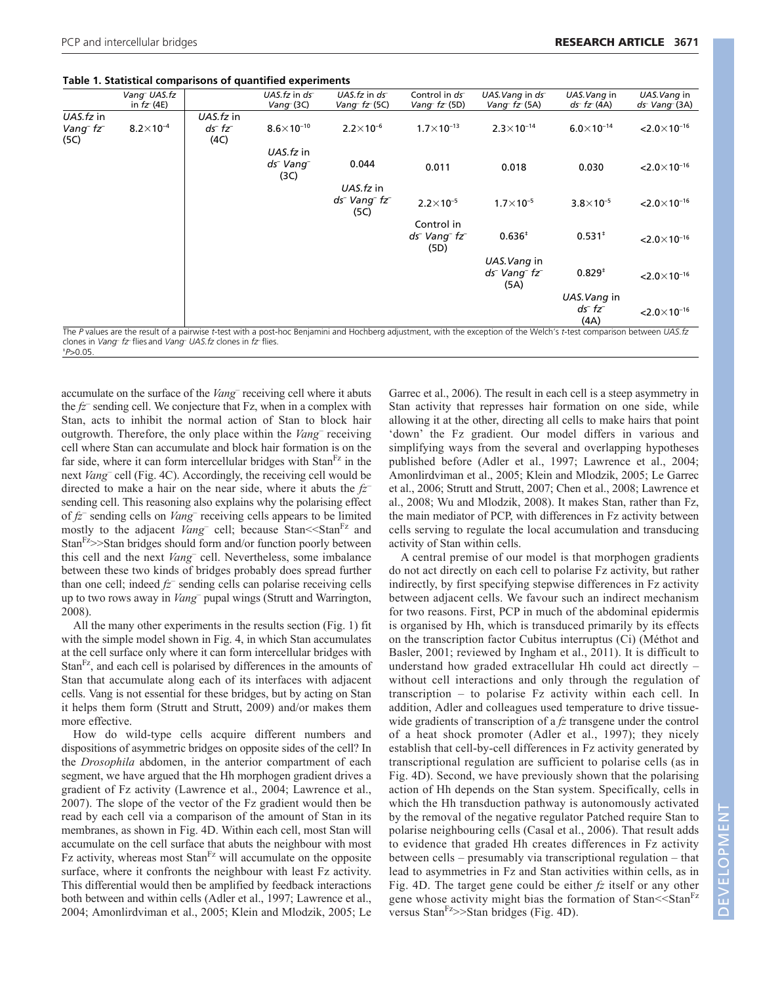## **Table 1. Statistical comparisons of quantified experiments**

|                                           | Vang UAS.fz<br>in $fZ(4E)$ |                      | UAS. $fz$ in $ds$<br>$Vanq^-$ (3C) | UAS.fz in ds<br>Vang- $fz(5C)$                            | Control in ds<br>Vang $f_Z(5D)$         | UAS. Vang in ds<br>Vang $f_Z(5A)$ | UAS. Vang in<br>$ds^- f z^- (4A)$ | UAS. Vang in<br>$ds$ Vang $(3A)$   |
|-------------------------------------------|----------------------------|----------------------|------------------------------------|-----------------------------------------------------------|-----------------------------------------|-----------------------------------|-----------------------------------|------------------------------------|
| UAS.fz in                                 |                            | UAS.fz in            |                                    |                                                           |                                         |                                   |                                   |                                    |
| Vang <sup>-</sup> fz <sup>-</sup><br>(5C) | $8.2 \times 10^{-4}$       | $ds^- f z^-$<br>(4C) | $8.6 \times 10^{-10}$              | $2.2 \times 10^{-6}$                                      | $1.7\times10^{-13}$                     | $2.3 \times 10^{-14}$             | $6.0 \times 10^{-14}$             | $< 2.0 \times 10^{-16}$            |
|                                           |                            |                      | UAS.fz in                          |                                                           |                                         |                                   |                                   |                                    |
|                                           |                            |                      | ds <sup>-</sup> Vang-<br>(3C)      | 0.044                                                     | 0.011                                   | 0.018                             | 0.030                             | $< 2.0 \times 10^{-16}$            |
|                                           |                            |                      |                                    | UAS.fz in                                                 |                                         |                                   |                                   |                                    |
|                                           |                            |                      |                                    | ds <sup>-</sup> Vang <sup>-</sup> fz <sup>-</sup><br>(5C) | $2.2 \times 10^{-5}$                    | $1.7\times10^{-5}$                | $3.8 \times 10^{-5}$              | $< 2.0 \times 10^{-16}$            |
|                                           |                            |                      |                                    |                                                           | Control in                              |                                   |                                   |                                    |
|                                           |                            |                      |                                    |                                                           | $ds^-$ Vang <sup>-</sup> $fz^-$<br>(5D) | $0.636*$                          | $0.531^{+}$                       | $< 2.0 \times 10^{-16}$            |
|                                           |                            |                      |                                    |                                                           |                                         | UAS.Vang in                       |                                   |                                    |
|                                           |                            |                      |                                    |                                                           |                                         | $ds^-$ Vang $^-$ fz $^-$<br>(5A)  | $0.829^{+}$                       | $< 2.0 \times 10^{-16}$            |
|                                           |                            |                      |                                    |                                                           |                                         |                                   | UAS. Vang in                      |                                    |
|                                           |                            |                      |                                    |                                                           |                                         |                                   | $ds^- f z^-$<br>(AA)              | $<$ 2.0 $\times$ 10 <sup>-16</sup> |

The *P* values are the result of a pairwise t-test with a post-hoc Benjamini and Hochberg adjustment, with the exception of the Welch's *t*-test comparison between UAS.*fz*<br>clones in V*ang<sup>.</sup> fz-* flies and Vang<sup>.</sup> UAS.*fz*  $P > 0.05$ .

accumulate on the surface of the *Vang–* receiving cell where it abuts the *fz–* sending cell. We conjecture that Fz, when in a complex with Stan, acts to inhibit the normal action of Stan to block hair outgrowth. Therefore, the only place within the *Vang–* receiving cell where Stan can accumulate and block hair formation is on the far side, where it can form intercellular bridges with  $Stan<sup>Fz</sup>$  in the next *Vang–* cell (Fig. 4C). Accordingly, the receiving cell would be directed to make a hair on the near side, where it abuts the *fz–* sending cell. This reasoning also explains why the polarising effect of *fz–* sending cells on *Vang–* receiving cells appears to be limited mostly to the adjacent *Vang*<sup>–</sup> cell; because Stan<sup> $<<$ Stan<sup>Fz</sup> and</sup> Stan<sup>rz</sup>>>Stan bridges should form and/or function poorly between this cell and the next *Vang–* cell. Nevertheless, some imbalance between these two kinds of bridges probably does spread further than one cell; indeed *fz–* sending cells can polarise receiving cells up to two rows away in *Vang–* pupal wings (Strutt and Warrington, 2008).

All the many other experiments in the results section (Fig. 1) fit with the simple model shown in Fig. 4, in which Stan accumulates at the cell surface only where it can form intercellular bridges with Stan $F<sup>z</sup>$ , and each cell is polarised by differences in the amounts of Stan that accumulate along each of its interfaces with adjacent cells. Vang is not essential for these bridges, but by acting on Stan it helps them form (Strutt and Strutt, 2009) and/or makes them more effective.

How do wild-type cells acquire different numbers and dispositions of asymmetric bridges on opposite sides of the cell? In the *Drosophila* abdomen, in the anterior compartment of each segment, we have argued that the Hh morphogen gradient drives a gradient of Fz activity (Lawrence et al., 2004; Lawrence et al., 2007). The slope of the vector of the Fz gradient would then be read by each cell via a comparison of the amount of Stan in its membranes, as shown in Fig. 4D. Within each cell, most Stan will accumulate on the cell surface that abuts the neighbour with most Fz activity, whereas most  $Stan<sup>Fz</sup>$  will accumulate on the opposite surface, where it confronts the neighbour with least Fz activity. This differential would then be amplified by feedback interactions both between and within cells (Adler et al., 1997; Lawrence et al., 2004; Amonlirdviman et al., 2005; Klein and Mlodzik, 2005; Le

Garrec et al., 2006). The result in each cell is a steep asymmetry in Stan activity that represses hair formation on one side, while allowing it at the other, directing all cells to make hairs that point 'down' the Fz gradient. Our model differs in various and simplifying ways from the several and overlapping hypotheses published before (Adler et al., 1997; Lawrence et al., 2004; Amonlirdviman et al., 2005; Klein and Mlodzik, 2005; Le Garrec et al., 2006; Strutt and Strutt, 2007; Chen et al., 2008; Lawrence et al., 2008; Wu and Mlodzik, 2008). It makes Stan, rather than Fz, the main mediator of PCP, with differences in Fz activity between cells serving to regulate the local accumulation and transducing activity of Stan within cells.

A central premise of our model is that morphogen gradients do not act directly on each cell to polarise Fz activity, but rather indirectly, by first specifying stepwise differences in Fz activity between adjacent cells. We favour such an indirect mechanism for two reasons. First, PCP in much of the abdominal epidermis is organised by Hh, which is transduced primarily by its effects on the transcription factor Cubitus interruptus (Ci) (Méthot and Basler, 2001; reviewed by Ingham et al., 2011). It is difficult to understand how graded extracellular Hh could act directly – without cell interactions and only through the regulation of transcription – to polarise Fz activity within each cell. In addition, Adler and colleagues used temperature to drive tissuewide gradients of transcription of a *fz* transgene under the control of a heat shock promoter (Adler et al., 1997); they nicely establish that cell-by-cell differences in Fz activity generated by transcriptional regulation are sufficient to polarise cells (as in Fig. 4D). Second, we have previously shown that the polarising action of Hh depends on the Stan system. Specifically, cells in which the Hh transduction pathway is autonomously activated by the removal of the negative regulator Patched require Stan to polarise neighbouring cells (Casal et al., 2006). That result adds to evidence that graded Hh creates differences in Fz activity between cells – presumably via transcriptional regulation – that lead to asymmetries in Fz and Stan activities within cells, as in Fig. 4D. The target gene could be either *fz* itself or any other gene whose activity might bias the formation of Stan<<StanFz versus Stan $F^2>>$ Stan bridges (Fig. 4D).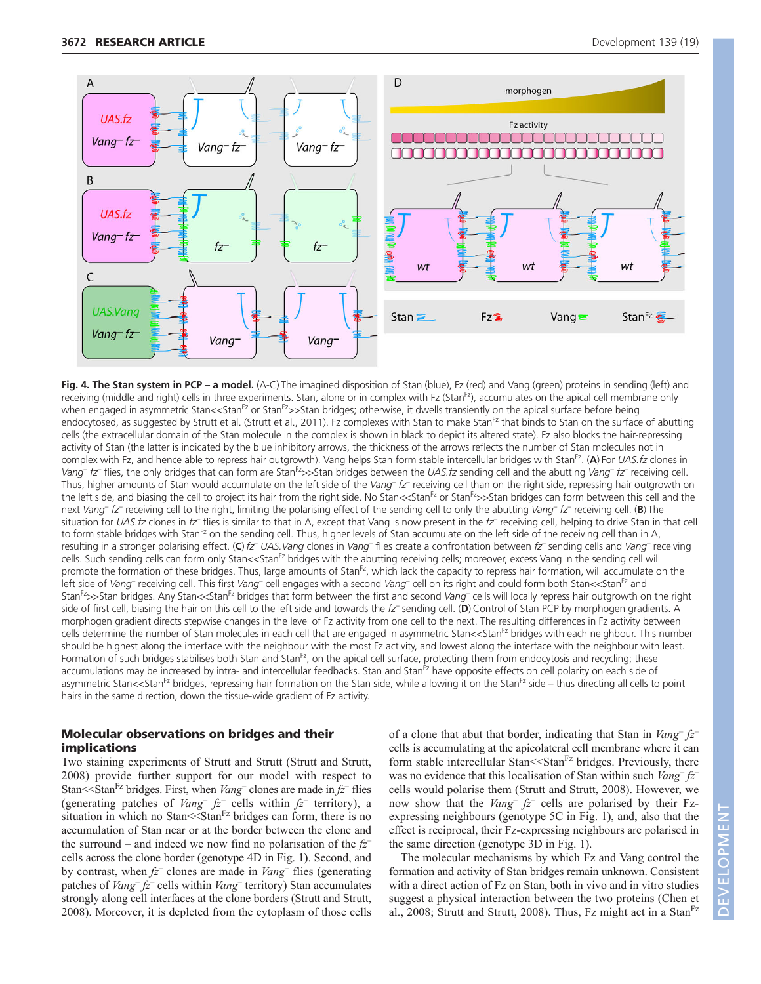![](_page_7_Figure_2.jpeg)

Fig. 4. The Stan system in PCP – a model. (A-C) The imagined disposition of Stan (blue), Fz (red) and Vang (green) proteins in sending (left) and receiving (middle and right) cells in three experiments. Stan, alone or in complex with Fz (StanFz), accumulates on the apical cell membrane only when engaged in asymmetric Stan<<Stan<sup>Fz</sup> or Stan<sup>Fz</sup>>>Stan bridges; otherwise, it dwells transiently on the apical surface before being endocytosed, as suggested by Strutt et al. (Strutt et al., 2011). Fz complexes with Stan to make Stan<sup>Fz</sup> that binds to Stan on the surface of abutting cells (the extracellular domain of the Stan molecule in the complex is shown in black to depict its altered state). Fz also blocks the hair-repressing activity of Stan (the latter is indicated by the blue inhibitory arrows, the thickness of the arrows reflects the number of Stan molecules not in complex with Fz, and hence able to repress hair outgrowth). Vang helps Stan form stable intercellular bridges with StanFz. (**A**) For *UAS.fz* clones in *Vang– fz–* flies, the only bridges that can form are StanFz>>Stan bridges between the *UAS.fz* sending cell and the abutting *Vang– fz–* receiving cell. Thus, higher amounts of Stan would accumulate on the left side of the *Vang– fz–* receiving cell than on the right side, repressing hair outgrowth on the left side, and biasing the cell to project its hair from the right side. No Stan<<Stan<sup>Fz</sup> or Stan<sup>Fz</sup>>>Stan bridges can form between this cell and the next *Vang– fz–* receiving cell to the right, limiting the polarising effect of the sending cell to only the abutting *Vang– fz–* receiving cell. (**B**) The situation for *UAS.fz* clones in *fz–* flies is similar to that in A, except that Vang is now present in the *fz–* receiving cell, helping to drive Stan in that cell to form stable bridges with Stan<sup>Fz</sup> on the sending cell. Thus, higher levels of Stan accumulate on the left side of the receiving cell than in A, resulting in a stronger polarising effect. (**C**) *fz– UAS.Vang* clones in *Vang–* flies create a confrontation between *fz–* sending cells and *Vang–* receiving cells. Such sending cells can form only Stan<<Stan<sup>Fz</sup> bridges with the abutting receiving cells; moreover, excess Vang in the sending cell will promote the formation of these bridges. Thus, large amounts of Stan<sup>Fz</sup>, which lack the capacity to repress hair formation, will accumulate on the left side of *Vang*– receiving cell. This first *Vang*– cell engages with a second *Vang*– cell on its right and could form both Stan<<Stan<sup>Fz</sup> and StanFz>>Stan bridges. Any Stan<<StanFz bridges that form between the first and second *Vang–* cells will locally repress hair outgrowth on the right side of first cell, biasing the hair on this cell to the left side and towards the *fz–* sending cell. (**D**) Control of Stan PCP by morphogen gradients. A morphogen gradient directs stepwise changes in the level of Fz activity from one cell to the next. The resulting differences in Fz activity between cells determine the number of Stan molecules in each cell that are engaged in asymmetric Stan<<Stan<sup>Fz</sup> bridges with each neighbour. This number should be highest along the interface with the neighbour with the most Fz activity, and lowest along the interface with the neighbour with least. Formation of such bridges stabilises both Stan and Stan<sup>Fz</sup>, on the apical cell surface, protecting them from endocytosis and recycling; these accumulations may be increased by intra- and intercellular feedbacks. Stan and Stan<sup>Fz</sup> have opposite effects on cell polarity on each side of asymmetric Stan<<Stan<sup>Fz</sup> bridges, repressing hair formation on the Stan side, while allowing it on the Stan<sup>Fz</sup> side – thus directing all cells to point hairs in the same direction, down the tissue-wide gradient of Fz activity.

## **Molecular observations on bridges and their implications**

Two staining experiments of Strutt and Strutt (Strutt and Strutt, 2008) provide further support for our model with respect to Stan<sup> $\le$ </sup>Stan<sup>Fz</sup> bridges. First, when *Vang*<sup>–</sup> clones are made in  $f\overline{z}$ <sup>–</sup> flies (generating patches of *Vang<sup>–</sup>*  $f\overline{z}$  cells within  $f\overline{z}$ <sup>–</sup> territory), a situation in which no Stan $\le$ Stan $F$ z bridges can form, there is no accumulation of Stan near or at the border between the clone and the surround – and indeed we now find no polarisation of the *fz–* cells across the clone border (genotype 4D in Fig. 1**)**. Second, and by contrast, when *fz–* clones are made in *Vang–* flies (generating patches of *Vang– fz–* cells within *Vang–* territory) Stan accumulates strongly along cell interfaces at the clone borders (Strutt and Strutt, 2008). Moreover, it is depleted from the cytoplasm of those cells of a clone that abut that border, indicating that Stan in *Vang– fz–* cells is accumulating at the apicolateral cell membrane where it can form stable intercellular Stan $<<$ Stan $Fz$  bridges. Previously, there was no evidence that this localisation of Stan within such *Vang– fz–* cells would polarise them (Strutt and Strutt, 2008). However, we now show that the *Vang– fz–* cells are polarised by their Fzexpressing neighbours (genotype 5C in Fig. 1**)**, and, also that the effect is reciprocal, their Fz-expressing neighbours are polarised in the same direction (genotype 3D in Fig. 1).

The molecular mechanisms by which Fz and Vang control the formation and activity of Stan bridges remain unknown. Consistent with a direct action of Fz on Stan, both in vivo and in vitro studies suggest a physical interaction between the two proteins (Chen et al., 2008; Strutt and Strutt, 2008). Thus,  $Fz$  might act in a Stan<sup>Fz</sup>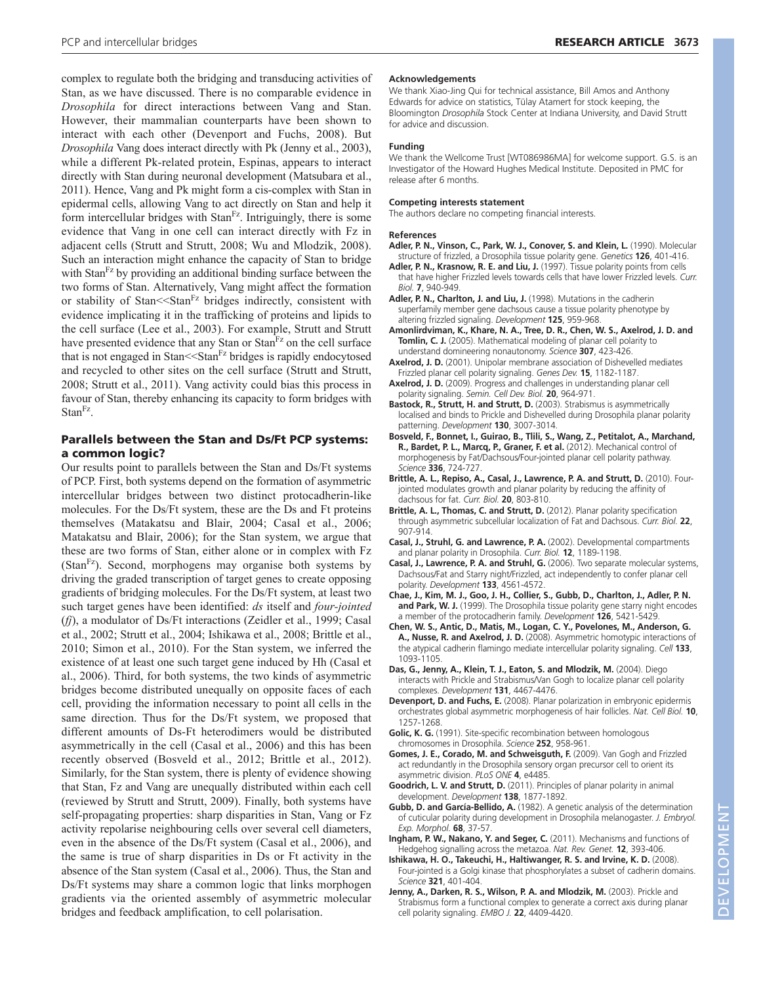complex to regulate both the bridging and transducing activities of Stan, as we have discussed. There is no comparable evidence in *Drosophila* for direct interactions between Vang and Stan. However, their mammalian counterparts have been shown to interact with each other (Devenport and Fuchs, 2008). But *Drosophila* Vang does interact directly with Pk (Jenny et al., 2003), while a different Pk-related protein, Espinas, appears to interact directly with Stan during neuronal development (Matsubara et al., 2011). Hence, Vang and Pk might form a cis-complex with Stan in epidermal cells, allowing Vang to act directly on Stan and help it form intercellular bridges with Stan<sup>Fz</sup>. Intriguingly, there is some evidence that Vang in one cell can interact directly with Fz in adjacent cells (Strutt and Strutt, 2008; Wu and Mlodzik, 2008). Such an interaction might enhance the capacity of Stan to bridge with  $Stan<sup>Fz</sup>$  by providing an additional binding surface between the two forms of Stan. Alternatively, Vang might affect the formation or stability of Stan<<StanFz bridges indirectly, consistent with evidence implicating it in the trafficking of proteins and lipids to the cell surface (Lee et al., 2003). For example, Strutt and Strutt have presented evidence that any Stan or Stan $F<sub>z</sub>$  on the cell surface that is not engaged in Stan<sup> $<<$ Stan<sup>Fz</sup> bridges is rapidly endocytosed</sup> and recycled to other sites on the cell surface (Strutt and Strutt, 2008; Strutt et al., 2011). Vang activity could bias this process in favour of Stan, thereby enhancing its capacity to form bridges with Stan<sup>Fz</sup>.

# **Parallels between the Stan and Ds/Ft PCP systems: a common logic?**

Our results point to parallels between the Stan and Ds/Ft systems of PCP. First, both systems depend on the formation of asymmetric intercellular bridges between two distinct protocadherin-like molecules. For the Ds/Ft system, these are the Ds and Ft proteins themselves (Matakatsu and Blair, 2004; Casal et al., 2006; Matakatsu and Blair, 2006); for the Stan system, we argue that these are two forms of Stan, either alone or in complex with Fz  $(Stan<sup>Fz</sup>)$ . Second, morphogens may organise both systems by driving the graded transcription of target genes to create opposing gradients of bridging molecules. For the Ds/Ft system, at least two such target genes have been identified: *ds* itself and *four-jointed* (*fj*), a modulator of Ds/Ft interactions (Zeidler et al., 1999; Casal et al., 2002; Strutt et al., 2004; Ishikawa et al., 2008; Brittle et al., 2010; Simon et al., 2010). For the Stan system, we inferred the existence of at least one such target gene induced by Hh (Casal et al., 2006). Third, for both systems, the two kinds of asymmetric bridges become distributed unequally on opposite faces of each cell, providing the information necessary to point all cells in the same direction. Thus for the Ds/Ft system, we proposed that different amounts of Ds-Ft heterodimers would be distributed asymmetrically in the cell (Casal et al., 2006) and this has been recently observed (Bosveld et al., 2012; Brittle et al., 2012). Similarly, for the Stan system, there is plenty of evidence showing that Stan, Fz and Vang are unequally distributed within each cell (reviewed by Strutt and Strutt, 2009). Finally, both systems have self-propagating properties: sharp disparities in Stan, Vang or Fz activity repolarise neighbouring cells over several cell diameters, even in the absence of the Ds/Ft system (Casal et al., 2006), and the same is true of sharp disparities in Ds or Ft activity in the absence of the Stan system (Casal et al., 2006). Thus, the Stan and Ds/Ft systems may share a common logic that links morphogen gradients via the oriented assembly of asymmetric molecular bridges and feedback amplification, to cell polarisation.

### **Acknowledgements**

We thank Xiao-Jing Qui for technical assistance, Bill Amos and Anthony Edwards for advice on statistics, Tülay Atamert for stock keeping, the Bloomington *Drosophila* Stock Center at Indiana University, and David Strutt for advice and discussion.

#### **Funding**

We thank the Wellcome Trust [WT086986MA] for welcome support. G.S. is an Investigator of the Howard Hughes Medical Institute. Deposited in PMC for release after 6 months.

#### **Competing interests statement**

The authors declare no competing financial interests.

#### **References**

- **Adler, P. N., Vinson, C., Park, W. J., Conover, S. and Klein, L.** (1990). Molecular structure of frizzled, a Drosophila tissue polarity gene. *Genetics* **126**, 401-416.
- **Adler, P. N., Krasnow, R. E. and Liu, J.** (1997). Tissue polarity points from cells that have higher Frizzled levels towards cells that have lower Frizzled levels. *Curr. Biol.* **7**, 940-949.
- **Adler, P. N., Charlton, J. and Liu, J.** (1998). Mutations in the cadherin superfamily member gene dachsous cause a tissue polarity phenotype by altering frizzled signaling. *Development* **125**, 959-968.
- **Amonlirdviman, K., Khare, N. A., Tree, D. R., Chen, W. S., Axelrod, J. D. and Tomlin, C. J.** (2005). Mathematical modeling of planar cell polarity to understand domineering nonautonomy. *Science* **307**, 423-426.
- **Axelrod, J. D.** (2001). Unipolar membrane association of Dishevelled mediates Frizzled planar cell polarity signaling. *Genes Dev.* **15**, 1182-1187.
- **Axelrod, J. D.** (2009). Progress and challenges in understanding planar cell polarity signaling. *Semin. Cell Dev. Biol.* **20**, 964-971.
- **Bastock, R., Strutt, H. and Strutt, D.** (2003). Strabismus is asymmetrically localised and binds to Prickle and Dishevelled during Drosophila planar polarity patterning. *Development* **130**, 3007-3014.
- **Bosveld, F., Bonnet, I., Guirao, B., Tlili, S., Wang, Z., Petitalot, A., Marchand, R., Bardet, P. L., Marcq, P., Graner, F. et al.** (2012). Mechanical control of morphogenesis by Fat/Dachsous/Four-jointed planar cell polarity pathway. *Science* **336**, 724-727.
- **Brittle, A. L., Repiso, A., Casal, J., Lawrence, P. A. and Strutt, D.** (2010). Fourjointed modulates growth and planar polarity by reducing the affinity of dachsous for fat. *Curr. Biol.* **20**, 803-810.
- **Brittle, A. L., Thomas, C. and Strutt, D.** (2012). Planar polarity specification through asymmetric subcellular localization of Fat and Dachsous. *Curr. Biol.* **22**, 907-914.
- **Casal, J., Struhl, G. and Lawrence, P. A.** (2002). Developmental compartments and planar polarity in Drosophila. *Curr. Biol.* **12**, 1189-1198.
- **Casal, J., Lawrence, P. A. and Struhl, G.** (2006). Two separate molecular systems, Dachsous/Fat and Starry night/Frizzled, act independently to confer planar cell polarity. *Development* **133**, 4561-4572.
- **Chae, J., Kim, M. J., Goo, J. H., Collier, S., Gubb, D., Charlton, J., Adler, P. N.** and Park, W. J. (1999). The Drosophila tissue polarity gene starry night encodes a member of the protocadherin family. *Development* **126**, 5421-5429.
- **Chen, W. S., Antic, D., Matis, M., Logan, C. Y., Povelones, M., Anderson, G. A., Nusse, R. and Axelrod, J. D.** (2008). Asymmetric homotypic interactions of the atypical cadherin flamingo mediate intercellular polarity signaling. *Cell* **133**, 1093-1105.
- **Das, G., Jenny, A., Klein, T. J., Eaton, S. and Mlodzik, M.** (2004). Diego interacts with Prickle and Strabismus/Van Gogh to localize planar cell polarity complexes. *Development* **131**, 4467-4476.
- **Devenport, D. and Fuchs, E.** (2008). Planar polarization in embryonic epidermis orchestrates global asymmetric morphogenesis of hair follicles. *Nat. Cell Biol.* **10**, 1257-1268.
- **Golic, K. G.** (1991). Site-specific recombination between homologous chromosomes in Drosophila. *Science* **252**, 958-961.
- **Gomes, J. E., Corado, M. and Schweisguth, F.** (2009). Van Gogh and Frizzled act redundantly in the Drosophila sensory organ precursor cell to orient its asymmetric division. *PLoS ONE* **4**, e4485.
- **Goodrich, L. V. and Strutt, D.** (2011). Principles of planar polarity in animal development. *Development* **138**, 1877-1892.
- **Gubb, D. and García-Bellido, A.** (1982). A genetic analysis of the determination of cuticular polarity during development in Drosophila melanogaster. *J. Embryol. Exp. Morphol.* **68**, 37-57.
- **Ingham, P. W., Nakano, Y. and Seger, C.** (2011). Mechanisms and functions of Hedgehog signalling across the metazoa. *Nat. Rev. Genet.* **12**, 393-406.
- **Ishikawa, H. O., Takeuchi, H., Haltiwanger, R. S. and Irvine, K. D.** (2008). Four-jointed is a Golgi kinase that phosphorylates a subset of cadherin domains. *Science* **321**, 401-404.
- **Jenny, A., Darken, R. S., Wilson, P. A. and Mlodzik, M.** (2003). Prickle and Strabismus form a functional complex to generate a correct axis during planar cell polarity signaling. *EMBO J.* **22**, 4409-4420.